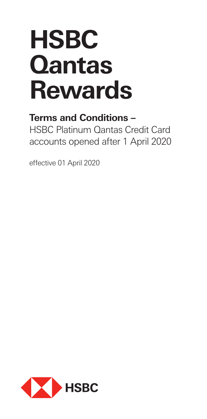# **HSBC Qantas Rewards**

# **Terms and Conditions –**

HSBC Platinum Qantas Credit Card accounts opened after 1 April 2020

effective 01 April 2020

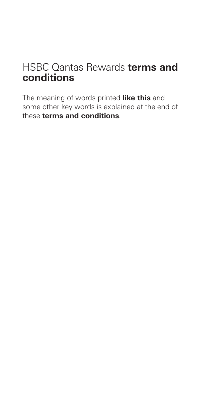## HSBC Qantas Rewards **terms and conditions**

The meaning of words printed **like this** and some other key words is explained at the end of these **terms and conditions**.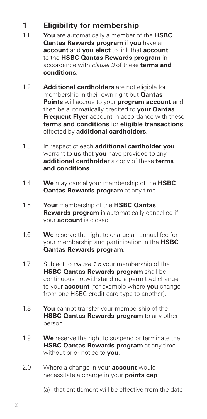## **1 Eligibility for membership**

- 1.1 **You** are automatically a member of the **HSBC Qantas Rewards program** if **you** have an **account** and **you elect** to link that **account** to the **HSBC Qantas Rewards program** in accordance with *clause 3* of these **terms and conditions**.
- 1.2 **Additional cardholders** are not eligible for membership in their own right but **Qantas Points** will accrue to your **program account** and then be automatically credited to **your Qantas Frequent Flyer** account in accordance with these **terms and conditions** for **eligible transactions** effected by **additional cardholders**.
- 1.3 In respect of each **additional cardholder you** warrant to **us** that **you** have provided to any **additional cardholder** a copy of these **terms and conditions**.
- 1.4 **We** may cancel your membership of the **HSBC Qantas Rewards program** at any time.
- 1.5 **Your** membership of the **HSBC Qantas Rewards program** is automatically cancelled if your **account** is closed.
- 1.6 **We** reserve the right to charge an annual fee for your membership and participation in the **HSBC Qantas Rewards program**.
- 1.7 Subject to *clause 1.5* your membership of the **HSBC Qantas Rewards program** shall be continuous notwithstanding a permitted change to your **account** (for example where **you** change from one HSBC credit card type to another).
- 1.8 **You** cannot transfer your membership of the **HSBC Qantas Rewards program** to any other person.
- 1.9 **We** reserve the right to suspend or terminate the **HSBC Qantas Rewards program** at any time without prior notice to **you**.
- 2.0 Where a change in your **account** would necessitate a change in your **points cap**:
	- (a) that entitlement will be effective from the date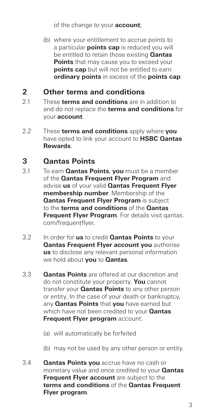of the change to your **account**;

 (b) where your entitlement to accrue points to a particular **points cap** is reduced you will be entitled to retain those existing **Qantas Points** that may cause you to exceed your **points cap** but will not be entitled to earn **ordinary points** in excess of the **points cap**.

#### **2 Other terms and conditions**

- 2.1 These **terms and conditions** are in addition to and do not replace the **terms and conditions** for your **account**.
- 2.2 These **terms and conditions** apply where **you** have opted to link your account to **HSBC Qantas Rewards**.

#### **3 Qantas Points**

- 3.1 To earn **Qantas Points**, **you** must be a member of the **Qantas Frequent Flyer Program** and advise **us** of your valid **Qantas Frequent Flyer membership number**. Membership of the **Qantas Frequent Flver Program** is subject to the **terms and conditions** of the **Qantas Frequent Flyer Program**. For details visit gantas. com/frequentflyer.
- 3.2 In order for **us** to credit **Qantas Points** to your **Qantas Frequent Flyer account you** authorise **us** to disclose any relevant personal information we hold about **you** to **Qantas**.
- 3.3 **Qantas Points** are offered at our discretion and do not constitute your property. **You** cannot transfer your **Qantas Points** to any other person or entity. In the case of your death or bankruptcy, any **Qantas Points** that **you** have earned but which have not been credited to your **Qantas Frequent Flyer program** account:
	- (a) will automatically be forfeited
	- (b) may not be used by any other person or entity.
- 3.4 **Qantas Points you** accrue have no cash or monetary value and once credited to your **Qantas Frequent Flyer account** are subject to the **terms and conditions** of the **Qantas Frequent Flyer program**.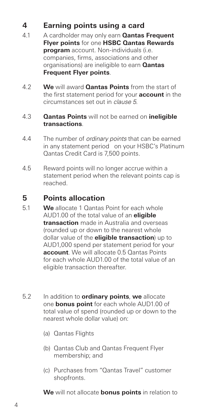#### **4 Earning points using a card**

- 4.1 A cardholder may only earn **Qantas Frequent Flyer points** for one **HSBC Qantas Rewards program** account. Non-individuals (i.e. companies, firms, associations and other organisations) are ineligible to earn **Qantas Frequent Flyer points**.
- 4.2 **We** will award **Qantas Points** from the start of the first statement period for your **account** in the circumstances set out in *clause 5*.
- 4.3 **Qantas Points** will not be earned on **ineligible transactions**.
- 4.4 The number of *ordinary points* that can be earned in any statement period on your HSBC's Platinum Qantas Credit Card is 7,500 points.
- 4.5 Reward points will no longer accrue within a statement period when the relevant points cap is reached.

#### **5 Points allocation**

- 5.1 **We** allocate 1 Qantas Point for each whole AUD1.00 of the total value of an **eligible transaction** made in Australia and overseas (rounded up or down to the nearest whole dollar value of the **eligible transaction**) up to AUD1,000 spend per statement period for your **account**. We will allocate 0.5 Qantas Points for each whole AUD1.00 of the total value of an eligible transaction thereafter.
- 5.2 In addition to **ordinary points**, **we** allocate one **bonus point** for each whole AUD1.00 of total value of spend (rounded up or down to the nearest whole dollar value) on:
	- (a) Qantas Flights
	- (b) Qantas Club and Qantas Frequent Flyer membership; and
	- (c) Purchases from "Qantas Travel" customer shopfronts.

**We** will not allocate **bonus points** in relation to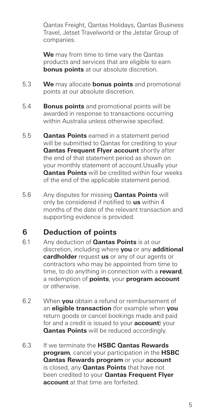Qantas Freight, Qantas Holidays, Qantas Business Travel, Jetset Travelworld or the Jetstar Group of companies.

 **We** may from time to time vary the Qantas products and services that are eligible to earn **bonus points** at our absolute discretion.

- 5.3 **We** may allocate **bonus points** and promotional points at our absolute discretion.
- 5.4 **Bonus points** and promotional points will be awarded in response to transactions occurring within Australia unless otherwise specified.
- 5.5 **Qantas Points** earned in a statement period will be submitted to Qantas for crediting to your **Qantas Frequent Flyer account** shortly after the end of that statement period as shown on your monthly statement of account.Usually your **Qantas Points** will be credited within four weeks of the end of the applicable statement period.
- 5.6 Any disputes for missing **Qantas Points** will only be considered if notified to **us** within 4 months of the date of the relevant transaction and supporting evidence is provided.

## **6 Deduction of points**

- 6.1 Any deduction of **Qantas Points** is at our discretion, including where **you** or any **additional cardholder** request **us** or any of our agents or contractors who may be appointed from time to time, to do anything in connection with a **reward**, a redemption of **points**, your **program account** or otherwise.
- 6.2 When **you** obtain a refund or reimbursement of an **eligible transaction** (for example when **you** return goods or cancel bookings made and paid for and a credit is issued to your **account**) your **Qantas Points** will be reduced accordingly.
- 6.3 If we terminate the **HSBC Qantas Rewards program**, cancel your participation in the **HSBC Qantas Rewards program** or your **account** is closed, any **Qantas Points** that have not been credited to your **Qantas Frequent Flyer account** at that time are forfeited.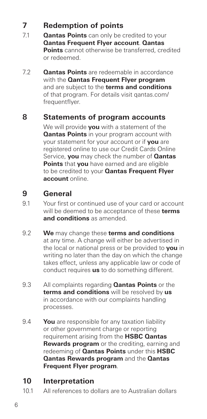## **7 Redemption of points**

- 7.1 **Qantas Points** can only be credited to your **Qantas Frequent Flyer account**. **Qantas Points** cannot otherwise be transferred, credited or redeemed.
- 7.2 **Qantas Points** are redeemable in accordance with the **Qantas Frequent Flyer program** and are subject to the **terms and conditions** of that program. For details visit qantas.com/ frequentflyer.

#### **8 Statements of program accounts**

 We will provide **you** with a statement of the **Qantas Points** in your program account with your statement for your account or if **you** are registered online to use our Credit Cards Online Service, **you** may check the number of **Qantas Points** that **you** have earned and are eligible to be credited to your **Qantas Frequent Flyer account** online.

#### **9 General**

- 9.1 Your first or continued use of your card or account will be deemed to be acceptance of these **terms and conditions** as amended.
- 9.2 **We** may change these **terms and conditions** at any time. A change will either be advertised in the local or national press or be provided to **you** in writing no later than the day on which the change takes effect, unless any applicable law or code of conduct requires **us** to do something different.
- 9.3 All complaints regarding **Qantas Points** or the **terms and conditions** will be resolved by **us** in accordance with our complaints handling processes.
- 9.4 **You** are responsible for any taxation liability or other government charge or reporting requirement arising from the **HSBC Qantas Rewards program** or the crediting, earning and redeeming of **Qantas Points** under this **HSBC Qantas Rewards program** and the **Qantas Frequent Flyer program**.

#### **10 Interpretation**

10.1 All references to dollars are to Australian dollars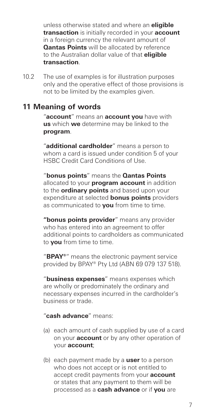unless otherwise stated and where an **eligible transaction** is initially recorded in your **account** in a foreign currency the relevant amount of **Qantas Points** will be allocated by reference to the Australian dollar value of that **eligible transaction**.

10.2 The use of examples is for illustration purposes only and the operative effect of those provisions is not to be limited by the examples given.

#### **11 Meaning of words**

 "**account**" means an **account you** have with **us** which **we** determine may be linked to the **program**.

 "**additional cardholder**" means a person to whom a card is issued under condition 5 of your HSBC Credit Card Conditions of Use.

 "**bonus points**" means the **Qantas Points** allocated to your **program account** in addition to the **ordinary points** and based upon your expenditure at selected **bonus points** providers as communicated to **you** from time to time.

 **"bonus points provider**" means any provider who has entered into an agreement to offer additional points to cardholders as communicated to **you** from time to time.

 "**BPAY®**" means the electronic payment service provided by BPAY® Pty Ltd (ABN 69 079 137 518).

 "**business expenses**" means expenses which are wholly or predominately the ordinary and necessary expenses incurred in the cardholder's business or trade.

#### "**cash advance**" means:

- (a) each amount of cash supplied by use of a card on your **account** or by any other operation of your **account**;
- (b) each payment made by a **user** to a person who does not accept or is not entitled to accept credit payments from your **account**  or states that any payment to them will be processed as a **cash advance** or if **you** are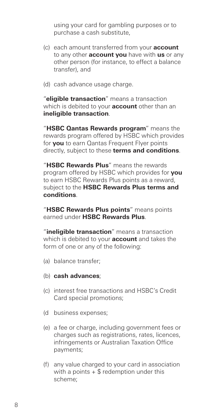using your card for gambling purposes or to purchase a cash substitute,

- (c) each amount transferred from your **account** to any other **account you** have with **us** or any other person (for instance, to effect a balance transfer), and
- (d) cash advance usage charge.

 "**eligible transaction**" means a transaction which is debited to your **account** other than an **ineligible transaction**.

 "**HSBC Qantas Rewards program**" means the rewards program offered by HSBC which provides for **you** to earn Qantas Frequent Flyer points directly, subject to these **terms and conditions**.

 "**HSBC Rewards Plus**" means the rewards program offered by HSBC which provides for **you** to earn HSBC Rewards Plus points as a reward, subject to the **HSBC Rewards Plus terms and conditions**.

 "**HSBC Rewards Plus points**" means points earned under **HSBC Rewards Plus**.

 "**ineligible transaction**" means a transaction which is debited to your **account** and takes the form of one or any of the following:

- (a) balance transfer;
- (b) **cash advances**;
- (c) interest free transactions and HSBC's Credit Card special promotions;
- (d business expenses;
- (e) a fee or charge, including government fees or charges such as registrations, rates, licences, infringements or Australian Taxation Office payments;
- (f) any value charged to your card in association with a points  $+$  \$ redemption under this scheme;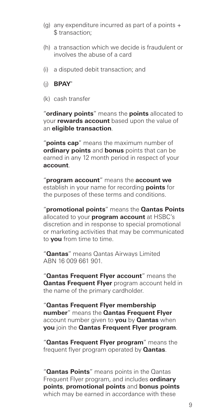- (g) any expenditure incurred as part of a points  $+$ \$ transaction;
- (h) a transaction which we decide is fraudulent or involves the abuse of a card
- (i) a disputed debit transaction; and
- (j) **BPAY®**
- (k) cash transfer

 "**ordinary points**" means the **points** allocated to your **rewards account** based upon the value of an **eligible transaction**.

 "**points cap**" means the maximum number of **ordinary points** and **bonus** points that can be earned in any 12 month period in respect of your **account**.

 "**program account**" means the **account we** establish in your name for recording **points** for the purposes of these terms and conditions.

 "**promotional points**" means the **Qantas Points** allocated to your **program account** at HSBC's discretion and in response to special promotional or marketing activities that may be communicated to **you** from time to time.

 "**Qantas**" means Qantas Airways Limited ABN 16 009 661 901.

 "**Qantas Frequent Flyer account**" means the **Qantas Frequent Flyer** program account held in the name of the primary cardholder.

 "**Qantas Frequent Flyer membership number**" means the **Qantas Frequent Flyer**  account number given to **you** by **Qantas** when **you** join the **Qantas Frequent Flyer program**.

 "**Qantas Frequent Flyer program**" means the frequent flyer program operated by **Qantas**.

"**Qantas Points**" means points in the Qantas Frequent Flyer program, and includes **ordinary points**, **promotional points** and **bonus points** which may be earned in accordance with these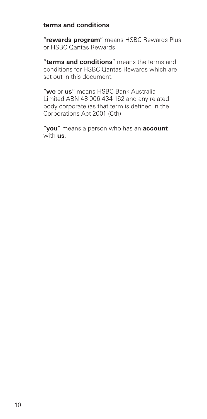#### **terms and conditions**.

 "**rewards program**" means HSBC Rewards Plus or HSBC Qantas Rewards.

 "**terms and conditions**" means the terms and conditions for HSBC Qantas Rewards which are set out in this document.

 "**we** or **us**" means HSBC Bank Australia Limited ABN 48 006 434 162 and any related body corporate (as that term is defined in the Corporations Act 2001 (Cth)

 "**you**" means a person who has an **account** with **us**.